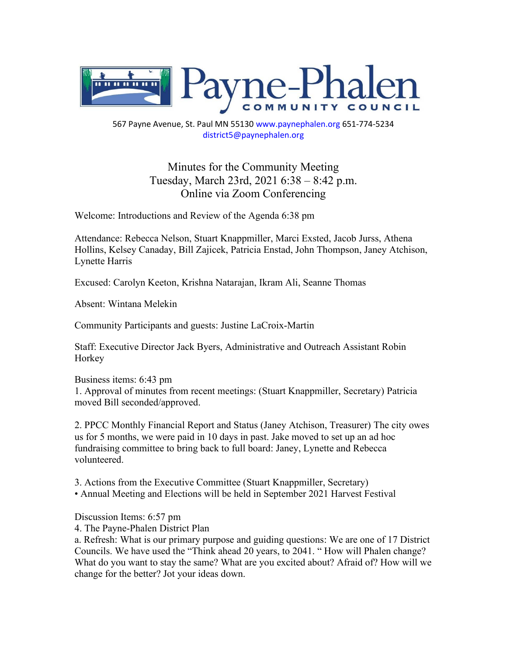

567 Payne Avenue, St. Paul MN 55130 www.paynephalen.org 651-774-5234 district5@paynephalen.org

> Minutes for the Community Meeting Tuesday, March 23rd, 2021 6:38 – 8:42 p.m. Online via Zoom Conferencing

Welcome: Introductions and Review of the Agenda 6:38 pm

Attendance: Rebecca Nelson, Stuart Knappmiller, Marci Exsted, Jacob Jurss, Athena Hollins, Kelsey Canaday, Bill Zajicek, Patricia Enstad, John Thompson, Janey Atchison, Lynette Harris

Excused: Carolyn Keeton, Krishna Natarajan, Ikram Ali, Seanne Thomas

Absent: Wintana Melekin

Community Participants and guests: Justine LaCroix-Martin

Staff: Executive Director Jack Byers, Administrative and Outreach Assistant Robin Horkey

Business items: 6:43 pm 1. Approval of minutes from recent meetings: (Stuart Knappmiller, Secretary) Patricia moved Bill seconded/approved.

2. PPCC Monthly Financial Report and Status (Janey Atchison, Treasurer) The city owes us for 5 months, we were paid in 10 days in past. Jake moved to set up an ad hoc fundraising committee to bring back to full board: Janey, Lynette and Rebecca volunteered.

3. Actions from the Executive Committee (Stuart Knappmiller, Secretary) • Annual Meeting and Elections will be held in September 2021 Harvest Festival

Discussion Items: 6:57 pm

4. The Payne-Phalen District Plan

a. Refresh: What is our primary purpose and guiding questions: We are one of 17 District Councils. We have used the "Think ahead 20 years, to 2041. " How will Phalen change? What do you want to stay the same? What are you excited about? Afraid of? How will we change for the better? Jot your ideas down.